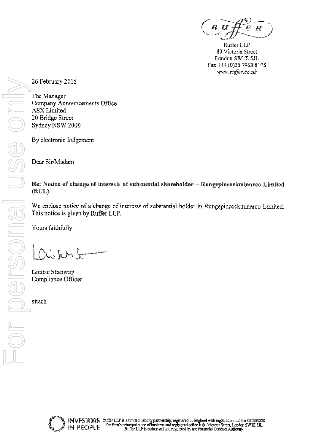*B* U

Ruffer LLP 80 Victoria Street London SWIE 5JL Fax +44 (0)20 7963 8175 www.ruffer.co.uk

26 February 2015

The Manager Company Announcements Office **ASX** Limited 20 Bridge Street Sydney NSW 2000

By electronic lodgement

Dear Sir/Madam

# Re: Notice of change of interests of substantial shareholder - Rungepincockminarco Limited (RUL)

We enclose notice of a change of interests of substantial holder in Rungepincockminarco Limited. This notice is given by Ruffer LLP.

Yours faithfully

 $k \sim k$ 

**Louise Stanway** Compliance Officer

attach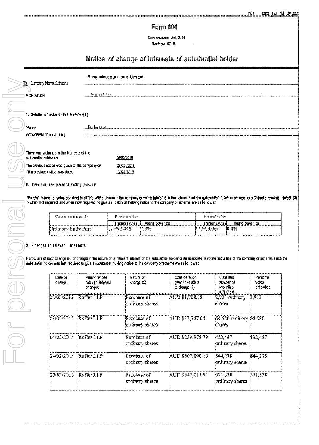# **Form 604**

Corporations Act 2001 Section 671B

# Notice of change of interests of substantial holder

| To Company Name/Scheme |                                                 | Rungepincockminarco Limited |  |
|------------------------|-------------------------------------------------|-----------------------------|--|
|                        | <b>ACN/ARSN</b>                                 | 010.672.321                 |  |
|                        |                                                 |                             |  |
|                        | 1. Details of substantial holder(1)             |                             |  |
|                        | Name                                            | 陶 <i>带er</i> LLP            |  |
|                        | ACNARSN (If applicable)                         |                             |  |
|                        |                                                 |                             |  |
|                        | There was a change in the interests of the      |                             |  |
|                        | substantial holder on                           | 25/02/2015                  |  |
|                        | The previous notice was given to the company on | 92.02.129.15                |  |
|                        | The previous notice was dated                   | 02/02/2015                  |  |
|                        |                                                 |                             |  |
|                        | 2. Previous and present voting power            |                             |  |
|                        |                                                 |                             |  |

The total number of votes attached to all the voting shares in the company or voting interests in the scheme that the substantial holder or an associate (2) had a relevant interest (3) in when last required, and when now required, to give a substantial holding notice to the company or scheme, are as follows:

| Class of securities (4) | Previous notice |                  | Present notice   |                  |  |
|-------------------------|-----------------|------------------|------------------|------------------|--|
| Louis Account Accounts  | Person's voies. | Volng power (6). | Person's votes ( | Voting power (5) |  |
| Drdinary Fully Paid     | 112.992.448     | 7.3%<br>Po.      | 14,908,064       | 8.4%             |  |

### 3. Changes In relevant Interests

Particulars of each change in, or change in the nature of, a relevant interest of the substantial holder or an associate in voting securities of the company or scheme, since the substantial holder was last required to give a substantial holding notice to the company or scheme are as follows:

| Date of<br>chengs | Person whose<br>relevant interest<br>changed | Nature of<br>change (6)        | Consideration<br>given in relation<br>to change (7) | Glass and<br>number of<br>securities<br>affected | Person's<br>votes<br>affected |
|-------------------|----------------------------------------------|--------------------------------|-----------------------------------------------------|--------------------------------------------------|-------------------------------|
| 02/02/2015        | Ruffer LLP                                   | Purchase of<br>ordinary shares | AUD \$1,708.18                                      | $2.933$ ordinary<br>shares                       | 2,933                         |
| 03/02/2015        | Ruffer LLP                                   | Purchase of<br>kndinary shares | AUD \$37,747.04                                     | 64,580 ordinary 64,580<br>khares                 |                               |
| 04/02/2015        | Ruffer LLP                                   | Purchase of<br>ordinary shares | AUD \$259,976.79                                    | 432,487<br>ordinary shares                       | 432,487                       |
| 24/02/2015        | Ruffer LLP                                   | Purchase of<br>ordinary shares | AUD \$507,090.15                                    | 844.278<br>ordinary shares                       | 844.278                       |
| 25/02/2015        | Ruffer LLP                                   | Purchase of<br>ordinary shares | AUD \$342,012.91                                    | 571,338<br>ordinary shares                       | 571,338                       |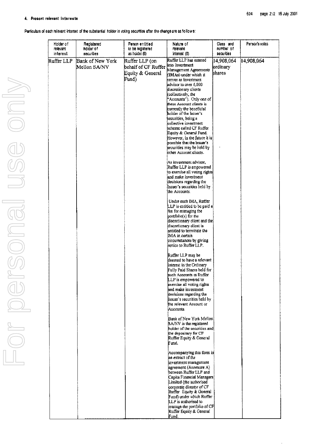Particulars of each relevant interest of the substantial holder in voting securities after the change are as follows:

| Holder of<br>relevant<br>interest | Registered<br>holder of<br>securities | Person entitled<br>to be registered<br>as holder (8)               | Nature of<br>relevant<br>interest (8)                                                                                                                                                                                                                                                                                                                                                                                                                                                                                                                                                                                                                                                                                                                   | Class and<br>number of<br>securities | Person's votes |
|-----------------------------------|---------------------------------------|--------------------------------------------------------------------|---------------------------------------------------------------------------------------------------------------------------------------------------------------------------------------------------------------------------------------------------------------------------------------------------------------------------------------------------------------------------------------------------------------------------------------------------------------------------------------------------------------------------------------------------------------------------------------------------------------------------------------------------------------------------------------------------------------------------------------------------------|--------------------------------------|----------------|
| Ruffer LLP                        | Bank of New York<br>Mellon SA/NV      | Ruffer LLP (on<br>behalf of CF Ruffer<br>Equity & General<br>Fund) | Ruffer LLP has entered<br>into Investment.<br>Management Agreements<br>(IMAs) under which it<br>serves as investment<br>advisor to over 6,000<br>discretionary clients<br>collectively, the<br>"Accounts"). Only one of<br>these Account clients is<br>currently the beneficial<br>holder of the Issuer's<br>securities, being a<br>collective investment<br>scheme ea‼ed CP Ruffer.<br>Equity & General Fund.<br>However, in the future it is<br>possible that the issuer s<br>securities may be held by<br>other Account clients.<br>As investment advisor.<br>Ruffer LLP is empowered<br>to exercise all voting rights<br>land make investment.<br>decisions regarding the<br>Issuer's securities held by<br>the Accounts.<br>Under each IMA, Ruffer | 14,908,064<br>ordinary<br>lshares    | 14,908,064     |
|                                   |                                       |                                                                    | LLP is entitled to be paid a]<br>fee for managing the<br>portfolio(s) for the<br>discretionary client and the<br>discretionary client is<br>entitled to terminate the<br>IMA in certain<br>circumstances by giving<br>inotice to Ruffer LLP.<br>Ruffer LLP may be                                                                                                                                                                                                                                                                                                                                                                                                                                                                                       |                                      |                |
|                                   |                                       |                                                                    | deemed to have a relevant<br>interest in the Ordinary<br>Fully Paid Shares held for<br>such Accounts as Ruffer-<br>LLP is empowered to<br>exercise all voting rights<br>and make investment<br>decisions regarding the<br>Issuer's securities held by<br>the relevant Account or<br>Accounts.                                                                                                                                                                                                                                                                                                                                                                                                                                                           |                                      |                |
|                                   |                                       |                                                                    | Bank of New York Mellon<br>SA/NV is the registered<br>holder of the securities and<br>the depositary for CF<br>Ruffer Equity & General<br>Fund.                                                                                                                                                                                                                                                                                                                                                                                                                                                                                                                                                                                                         |                                      |                |
|                                   |                                       |                                                                    | Accompanying this form is<br>an extract of the<br>investment management<br>agreement (Annexure A)<br>between Ruffer LLP and<br>Capita Financial Managers<br>Limited (the authorised<br>corporate director of CF<br>Ruffer Equity & General<br>Fund) under which Ruffer<br>LLP is authorised to<br>manage the portfolio of CF<br>Ruffer Equity & General<br>Fund.                                                                                                                                                                                                                                                                                                                                                                                        |                                      |                |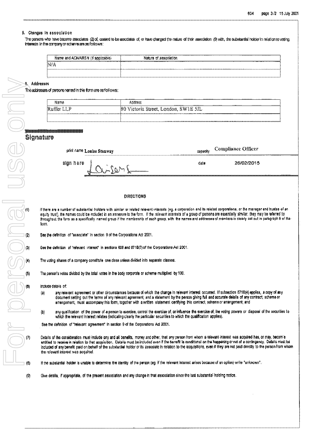#### 5. Changes in association

The passons who have become associates (2) of, cassed to be associates of or have denoted the factor of their association (3) with the substantial holder in relation to voting. interests in the company or scheme are as follows:

|                                                  | .                                                   |
|--------------------------------------------------|-----------------------------------------------------|
| -----<br>Name and ACN/ARSN<br>' applicable)<br>. | Nature of .<br>' ssactation                         |
| ---------<br>--------<br>NIA                     | -----------------<br>---------<br>----------------- |
|                                                  |                                                     |

6. Addresses

The addresses of persons nemed in this form are as follows:

| .<br>Name                                                                                                                    | -----------<br>. .<br>Address<br><br><b></b><br>------------<br><br><b></b>                                                                                                                     |
|------------------------------------------------------------------------------------------------------------------------------|-------------------------------------------------------------------------------------------------------------------------------------------------------------------------------------------------|
| the first A<br>.                                                                                                             | $- + + +$<br>SW1<br>. .<br>15 L<br>a Street, London, I<br>хотогія<br>. .<br>11.YL<br>سده باسد و                                                                                                 |
| <b>LAALAAALAAALAALAALAALAALAA MOODO MIDOOMIILLI</b><br><b>000.000.A.D.A.LA.A.A.LA.DOM.WALLAW.DIA.00.00.000</b><br>1.1.1.1.10 | AND COMMUNICATION TO PERMIT TO THE COMMUNICATION CONTINUES TO THE REPORT OF THE COMMUNICATION CONTINUES.<br>------------<br><b>III.L.III.MAAAL</b><br>,,,,,,,,,,,,,,,,,,,,,,<br>.<br>---------- |

|  |  | ‱ ∉a <del>24</del> e man a na m |  |  |
|--|--|---------------------------------|--|--|
|  |  |                                 |  |  |

| print name Louise Stanway                   | <i>copaci</i> n | Compliance Officer |
|---------------------------------------------|-----------------|--------------------|
| sign here<br><b>Channel</b><br>_______<br>. | datu            | 26/02/2015         |
|                                             |                 |                    |

#### **DIRECTIONS**

If there are a number of substantial holders with similar or related relevant interests (eg, a corporation and its related corporations, or the manager and trustee of an equity trust), the names could be included in an annexure to the form. If the relevant interests of a group of persons are essentially similar, they may be referred to throughout the form as a specifically named group if the membership of each group, with the names and addresses of members is clearly set out in paragraph 8 of the form

See the definition of "associate" in section 9 of the Corporations Act 2001.

See the definition of "refevant interest" in sections 606 and 671B(7) of the Corporations Act 2001.

The voting shares of a company constitute one class unless divided into separate classes.

The person's votes divided by the total votes in the body corporate or scheme multiplied by 100.

include details of:

- any relevant agreement or other circumstances because of which the change in relevant interest occurred. If subsection 671B(4) applies, a copy of any  $(a)$ document setting out the terms of any relevant agreement, and a statement by the person giving full and accurate details of any contract, scheme or arrangement, must accompany this form, together with a written statement certifying this contract, scheme or arrangement; and
- $\ddot{\mathbf{b}}$ any qualification of the power of a person to exercise, control the exercise of, or influence the exercise of, the voting powers or disposal of the securities to which the relevant interest relates (indicating clearly the particular securities to which the qualification applies).

See the definition of "relevant agreement" in section 9 of the Corporations Act 2001.

Details of the consideration must include any and all benefits, money and other, that any person from whom a relevant interest was acquired has, or may, becom'e entitled to receive in relation to that acquisition. Details must be included even if the benefit is conditional on the happening or not of a contingency. Details must be Included of any benefit paid on behalf of the substantial holder or its associate in relation to the acquisitions, even if they are not paid directly to the person from whom the relevant interest was acquired.

If the substantial holder is unable to determine the identity of the person (eg. if the relevant interest arises because of an option) write "unknown".

Give details, if appropriate, of the present association and any change in that association since the last substantial holding notice.  $(9)$